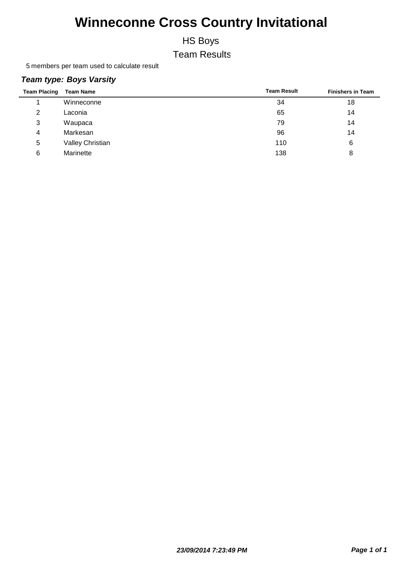HS Boys

Team Results

5 members per team used to calculate result

#### *Team type: Boys Varsity*

| <b>Team Placing</b> | <b>Team Name</b> | <b>Team Result</b> | <b>Finishers in Team</b> |
|---------------------|------------------|--------------------|--------------------------|
|                     | Winneconne       | 34                 | 18                       |
| 2                   | Laconia          | 65                 | 14                       |
| 3                   | Waupaca          | 79                 | 14                       |
| 4                   | Markesan         | 96                 | 14                       |
| 5                   | Valley Christian | 110                | 6                        |
| 6                   | Marinette        | 138                | 8                        |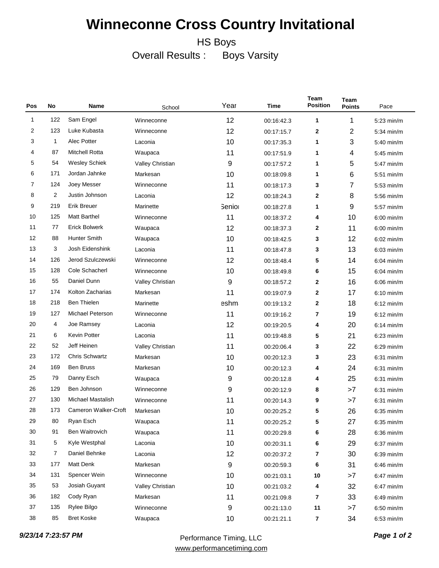HS Boys

Overall Results : Boys Varsity

| Pos | No             | Name                     | School           | Year         | Time       | Team<br><b>Position</b> | Team<br><b>Points</b> | Pace                 |
|-----|----------------|--------------------------|------------------|--------------|------------|-------------------------|-----------------------|----------------------|
| 1   | 122            | Sam Engel                | Winneconne       | 12           | 00:16:42.3 | 1                       | 1                     | $5:23$ min/m         |
| 2   | 123            | Luke Kubasta             | Winneconne       | 12           | 00:17:15.7 | $\mathbf{2}$            | 2                     | 5:34 min/m           |
| 3   | 1              | Alec Potter              | Laconia          | 10           | 00:17:35.3 | 1                       | 3                     | $5:40$ min/m         |
| 4   | 87             | <b>Mitchell Rotta</b>    | Waupaca          | 11           | 00:17:51.9 | 1                       | 4                     | $5:45$ min/m         |
| 5   | 54             | <b>Wesley Schiek</b>     | Valley Christian | 9            | 00:17:57.2 | 1                       | 5                     | $5:47$ min/m         |
| 6   | 171            | Jordan Jahnke            | Markesan         | 10           | 00:18:09.8 | 1                       | 6                     | $5:51$ min/m         |
| 7   | 124            | Joey Messer              | Winneconne       | 11           | 00:18:17.3 | 3                       | 7                     | $5:53$ min/m         |
| 8   | 2              | Justin Johnson           | Laconia          | 12           | 00:18:24.3 | $\mathbf{2}$            | 8                     | $5:56$ min/m         |
| 9   | 219            | Erik Breuer              | Marinette        | <b>Senio</b> | 00:18:27.8 | 1                       | 9                     | 5:57 min/m           |
| 10  | 125            | <b>Matt Barthel</b>      | Winneconne       | 11           | 00:18:37.2 | 4                       | 10                    | $6:00$ min/m         |
| 11  | 77             | <b>Erick Bolwerk</b>     | Waupaca          | 12           | 00:18:37.3 | $\mathbf{2}$            | 11                    | $6:00$ min/m         |
| 12  | 88             | <b>Hunter Smith</b>      | Waupaca          | 10           | 00:18:42.5 | 3                       | 12                    | $6:02$ min/m         |
| 13  | 3              | Josh Eidenshink          | Laconia          | 11           | 00:18:47.8 | 3                       | 13                    | $6:03$ min/m         |
| 14  | 126            | Jerod Szulczewski        | Winneconne       | 12           | 00:18:48.4 | 5                       | 14                    | $6:04 \text{ min/m}$ |
| 15  | 128            | Cole Schacherl           | Winneconne       | 10           | 00:18:49.8 | 6                       | 15                    | $6:04$ min/m         |
| 16  | 55             | Daniel Dunn              | Valley Christian | 9            | 00:18:57.2 | $\mathbf{2}$            | 16                    | $6:06$ min/m         |
| 17  | 174            | Kolton Zacharias         | Markesan         | 11           | 00:19:07.9 | $\mathbf{2}$            | 17                    | $6:10$ min/m         |
| 18  | 218            | <b>Ben Thielen</b>       | Marinette        | eshm         | 00:19:13.2 | $\mathbf{2}$            | 18                    | $6:12$ min/m         |
| 19  | 127            | Michael Peterson         | Winneconne       | 11           | 00:19:16.2 | 7                       | 19                    | $6:12$ min/m         |
| 20  | 4              | Joe Ramsey               | Laconia          | 12           | 00:19:20.5 | 4                       | 20                    | $6:14$ min/m         |
| 21  | 6              | Kevin Potter             | Laconia          | 11           | 00:19:48.8 | 5                       | 21                    | $6:23$ min/m         |
| 22  | 52             | Jeff Heinen              | Valley Christian | 11           | 00:20:06.4 | 3                       | 22                    | $6:29$ min/m         |
| 23  | 172            | <b>Chris Schwartz</b>    | Markesan         | 10           | 00:20:12.3 | 3                       | 23                    | $6:31$ min/m         |
| 24  | 169            | <b>Ben Bruss</b>         | Markesan         | 10           | 00:20:12.3 | 4                       | 24                    | $6:31$ min/m         |
| 25  | 79             | Danny Esch               | Waupaca          | 9            | 00:20:12.8 | 4                       | 25                    | $6:31$ min/m         |
| 26  | 129            | Ben Johnson              | Winneconne       | 9            | 00:20:12.9 | 8                       | >7                    | $6:31$ min/m         |
| 27  | 130            | <b>Michael Mastalish</b> | Winneconne       | 11           | 00:20:14.3 | 9                       | >7                    | $6:31$ min/m         |
| 28  | 173            | Cameron Walker-Croft     | Markesan         | 10           | 00:20:25.2 | 5                       | 26                    | $6:35$ min/m         |
| 29  | 80             | Ryan Esch                | Waupaca          | 11           | 00:20:25.2 | 5                       | 27                    | 6:35 min/m           |
| 30  | 91             | Ben Waitrovich           | Waupaca          | 11           | 00:20:29.8 | 6                       | 28                    | $6:36$ min/m         |
| 31  | 5              | Kyle Westphal            | Laconia          | 10           | 00:20:31.1 | 6                       | 29                    | $6:37$ min/m         |
| 32  | $\overline{7}$ | Daniel Behnke            | Laconia          | 12           | 00:20:37.2 | $\overline{\mathbf{r}}$ | 30                    | $6:39$ min/m         |
| 33  | 177            | Matt Denk                | Markesan         | 9            | 00:20:59.3 | 6                       | 31                    | $6:46$ min/m         |
| 34  | 131            | Spencer Wein             | Winneconne       | 10           | 00:21:03.1 | $10\,$                  | >7                    | $6:47$ min/m         |
| 35  | 53             | Josiah Guyant            | Valley Christian | 10           | 00:21:03.2 | 4                       | 32                    | $6:47$ min/m         |
| 36  | 182            | Cody Ryan                | Markesan         | 11           | 00:21:09.8 | $\overline{\mathbf{r}}$ | 33                    | $6:49$ min/m         |
| 37  | 135            | Rylee Bilgo              | Winneconne       | 9            | 00:21:13.0 | 11                      | >7                    | $6:50$ min/m         |
| 38  | 85             | <b>Bret Koske</b>        | Waupaca          | 10           | 00:21:21.1 | $\overline{7}$          | 34                    | 6:53 min/m           |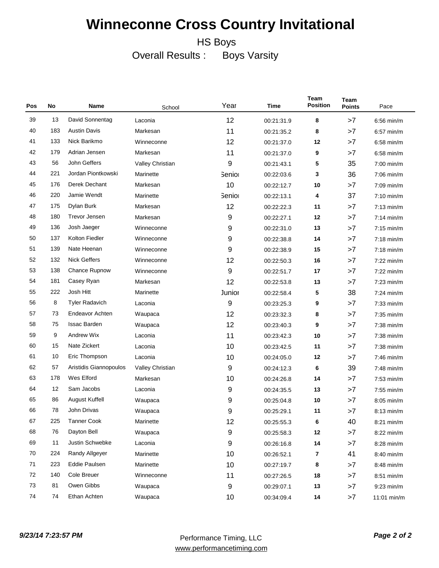HS Boys

Overall Results : Boys Varsity

| Pos | No  | Name                   | School           | Year                  | Time       | Team<br><b>Position</b> | Team<br><b>Points</b> | Pace         |
|-----|-----|------------------------|------------------|-----------------------|------------|-------------------------|-----------------------|--------------|
| 39  | 13  | David Sonnentag        | Laconia          | 12                    | 00:21:31.9 | 8                       | >7                    | $6:56$ min/m |
| 40  | 183 | <b>Austin Davis</b>    | Markesan         | 11                    | 00:21:35.2 | 8                       | >7                    | $6:57$ min/m |
| 41  | 133 | Nick Barikmo           | Winneconne       | 12                    | 00:21:37.0 | 12                      | >7                    | 6:58 min/m   |
| 42  | 179 | Adrian Jensen          | Markesan         | 11                    | 00:21:37.0 | 9                       | >7                    | $6:58$ min/m |
| 43  | 56  | John Geffers           | Valley Christian | 9                     | 00:21:43.1 | 5                       | 35                    | 7:00 min/m   |
| 44  | 221 | Jordan Piontkowski     | Marinette        | <b>Senio</b>          | 00:22:03.6 | 3                       | 36                    | $7:06$ min/m |
| 45  | 176 | Derek Dechant          | Markesan         | 10                    | 00:22:12.7 | 10                      | >7                    | 7:09 min/m   |
| 46  | 220 | Jamie Wendt            | Marinette        | <b>Senio</b>          | 00:22:13.1 | 4                       | 37                    | $7:10$ min/m |
| 47  | 175 | Dylan Burk             | Markesan         | 12                    | 00:22:22.3 | 11                      | >7                    | $7:13$ min/m |
| 48  | 180 | Trevor Jensen          | Markesan         | 9                     | 00:22:27.1 | 12                      | >7                    | $7:14$ min/m |
| 49  | 136 | Josh Jaeger            | Winneconne       | 9                     | 00:22:31.0 | 13                      | >7                    | $7:15$ min/m |
| 50  | 137 | Kolton Fiedler         | Winneconne       | 9                     | 00:22:38.8 | 14                      | >7                    | $7:18$ min/m |
| 51  | 139 | Nate Heenan            | Winneconne       | 9                     | 00:22:38.9 | 15                      | >7                    | $7:18$ min/m |
| 52  | 132 | <b>Nick Geffers</b>    | Winneconne       | 12                    | 00:22:50.3 | 16                      | >7                    | $7:22$ min/m |
| 53  | 138 | Chance Rupnow          | Winneconne       | 9                     | 00:22:51.7 | 17                      | >7                    | $7:22$ min/m |
| 54  | 181 | Casey Ryan             | Markesan         | 12                    | 00:22:53.8 | 13                      | >7                    | $7:23$ min/m |
| 55  | 222 | Josh Hitt              | Marinette        | Junior                | 00:22:58.4 | 5                       | 38                    | 7:24 min/m   |
| 56  | 8   | <b>Tyler Radavich</b>  | Laconia          | 9                     | 00:23:25.3 | 9                       | >7                    | $7:33$ min/m |
| 57  | 73  | Endeavor Achten        | Waupaca          | 12                    | 00:23:32.3 | 8                       | >7                    | 7:35 min/m   |
| 58  | 75  | <b>Issac Barden</b>    | Waupaca          | 12                    | 00:23:40.3 | 9                       | >7                    | $7:38$ min/m |
| 59  | 9   | Andrew Wix             | Laconia          | 11                    | 00:23:42.3 | 10                      | >7                    | 7:38 min/m   |
| 60  | 15  | Nate Zickert           | Laconia          | 10                    | 00:23:42.5 | 11                      | >7                    | $7:38$ min/m |
| 61  | 10  | Eric Thompson          | Laconia          | 10                    | 00:24:05.0 | 12                      | >7                    | 7:46 min/m   |
| 62  | 57  | Aristidis Giannopoulos | Valley Christian | 9                     | 00:24:12.3 | 6                       | 39                    | $7:48$ min/m |
| 63  | 178 | Wes Elford             | Markesan         | 10                    | 00:24:26.8 | 14                      | >7                    | $7:53$ min/m |
| 64  | 12  | Sam Jacobs             | Laconia          | 9                     | 00:24:35.5 | 13                      | >7                    | $7:55$ min/m |
| 65  | 86  | <b>August Kuffell</b>  | Waupaca          | 9                     | 00:25:04.8 | 10                      | >7                    | 8:05 min/m   |
| 66  | 78  | John Drivas            | Waupaca          | 9                     | 00:25:29.1 | 11                      | >7                    | $8:13$ min/m |
| 67  | 225 | <b>Tanner Cook</b>     | Marinette        | 12                    | 00:25:55.3 | 6                       | 40                    | 8:21 min/m   |
| 68  | 76  | Dayton Bell            | Waupaca          | 9                     | 00:25:58.3 | $12$                    | >7                    | 8:22 min/m   |
| 69  | 11  | Justin Schwebke        | Laconia          | 9                     | 00:26:16.8 | 14                      | >7                    | 8:28 min/m   |
| 70  | 224 | Randy Allgeyer         | Marinette        | 10<br>00:26:52.1<br>7 |            | 41                      | 8:40 min/m            |              |
| 71  | 223 | Eddie Paulsen          | Marinette        | 10<br>8<br>00:27:19.7 |            | >7                      | 8:48 min/m            |              |
| 72  | 140 | Cole Breuer            | Winneconne       | 11                    | 00:27:26.5 | 18                      | >7                    | 8:51 min/m   |
| 73  | 81  | Owen Gibbs             | Waupaca          | 9                     | 00:29:07.1 | 13                      | >7                    | $9:23$ min/m |
| 74  | 74  | Ethan Achten           | Waupaca          | 10                    | 00:34:09.4 | 14                      | $>7$                  | 11:01 min/m  |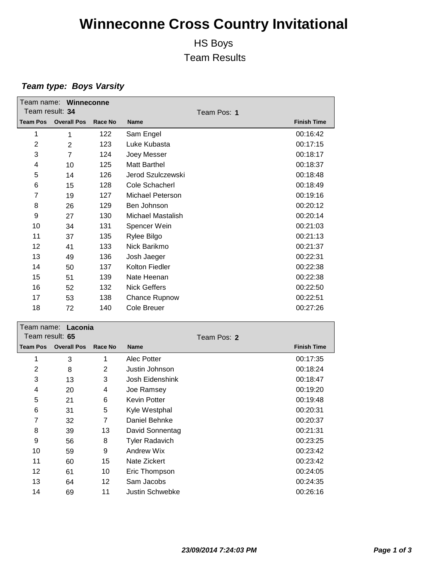### HS Boys Team Results

### *Team type: Boys Varsity*

|                 | Team name: Winneconne            |         |                     |                    |
|-----------------|----------------------------------|---------|---------------------|--------------------|
| Team result: 34 |                                  |         | Team Pos: 1         |                    |
| <b>Team Pos</b> | <b>Overall Pos</b>               | Race No | <b>Name</b>         | <b>Finish Time</b> |
| 1               | 1                                | 122     | Sam Engel           | 00:16:42           |
| 2               | $\overline{2}$                   | 123     | Luke Kubasta        | 00:17:15           |
| 3               | $\overline{7}$                   | 124     | Joey Messer         | 00:18:17           |
| 4               | 10                               | 125     | Matt Barthel        | 00:18:37           |
| 5               | 14                               | 126     | Jerod Szulczewski   | 00:18:48           |
| 6               | 15                               | 128     | Cole Schacherl      | 00:18:49           |
| 7               | 19                               | 127     | Michael Peterson    | 00:19:16           |
| 8               | 26                               | 129     | Ben Johnson         | 00:20:12           |
| 9               | 27                               | 130     | Michael Mastalish   | 00:20:14           |
| 10              | 34                               | 131     | Spencer Wein        | 00:21:03           |
| 11              | 37                               | 135     | Rylee Bilgo         | 00:21:13           |
| 12              | 41                               | 133     | Nick Barikmo        | 00:21:37           |
| 13              | 49                               | 136     | Josh Jaeger         | 00:22:31           |
| 14              | 50                               | 137     | Kolton Fiedler      | 00:22:38           |
| 15              | 51                               | 139     | Nate Heenan         | 00:22:38           |
| 16              | 52                               | 132     | <b>Nick Geffers</b> | 00:22:50           |
| 17              | 53                               | 138     | Chance Rupnow       | 00:22:51           |
| 18              | 72                               | 140     | Cole Breuer         | 00:27:26           |
| $\mathbf{r}$ .  | <b>The contract of the State</b> |         |                     |                    |

|                 | ream name: Laconia |                |                       |             |                    |
|-----------------|--------------------|----------------|-----------------------|-------------|--------------------|
| Team result: 65 |                    |                |                       | Team Pos: 2 |                    |
| <b>Team Pos</b> | <b>Overall Pos</b> | Race No        | <b>Name</b>           |             | <b>Finish Time</b> |
| 1               | 3                  | 1              | Alec Potter           |             | 00:17:35           |
| $\overline{2}$  | 8                  | $\overline{2}$ | Justin Johnson        |             | 00:18:24           |
| 3               | 13                 | 3              | Josh Eidenshink       |             | 00:18:47           |
| 4               | 20                 | 4              | Joe Ramsey            |             | 00:19:20           |
| 5               | 21                 | 6              | Kevin Potter          |             | 00:19:48           |
| 6               | 31                 | 5              | Kyle Westphal         |             | 00:20:31           |
| 7               | 32                 | 7              | Daniel Behnke         |             | 00:20:37           |
| 8               | 39                 | 13             | David Sonnentag       |             | 00:21:31           |
| 9               | 56                 | 8              | <b>Tyler Radavich</b> |             | 00:23:25           |
| 10              | 59                 | 9              | Andrew Wix            |             | 00:23:42           |
| 11              | 60                 | 15             | Nate Zickert          |             | 00:23:42           |
| 12              | 61                 | 10             | Eric Thompson         |             | 00:24:05           |
| 13              | 64                 | 12             | Sam Jacobs            |             | 00:24:35           |
| 14              | 69                 | 11             | Justin Schwebke       |             | 00:26:16           |
|                 |                    |                |                       |             |                    |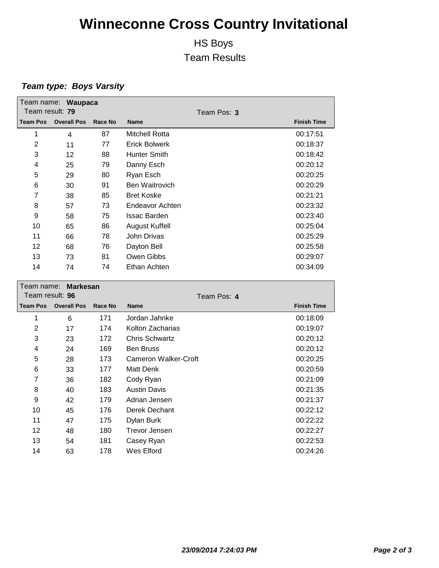### HS Boys Team Results

### *Team type: Boys Varsity*

| Team result: 79 | Team name: Waupaca |         |                      |             |                    |
|-----------------|--------------------|---------|----------------------|-------------|--------------------|
|                 |                    |         |                      | Team Pos: 3 |                    |
| <b>Team Pos</b> | <b>Overall Pos</b> | Race No | <b>Name</b>          |             | <b>Finish Time</b> |
| 1               | 4                  | 87      | Mitchell Rotta       |             | 00:17:51           |
| 2               | 11                 | 77      | <b>Erick Bolwerk</b> |             | 00:18:37           |
| 3               | 12                 | 88      | <b>Hunter Smith</b>  |             | 00:18:42           |
| 4               | 25                 | 79      | Danny Esch           |             | 00:20:12           |
| 5               | 29                 | 80      | Ryan Esch            |             | 00:20:25           |
| 6               | 30                 | 91      | Ben Waitrovich       |             | 00:20:29           |
| $\overline{7}$  | 38                 | 85      | <b>Bret Koske</b>    |             | 00:21:21           |
| 8               | 57                 | 73      | Endeavor Achten      |             | 00:23:32           |
| 9               | 58                 | 75      | <b>Issac Barden</b>  |             | 00:23:40           |
| 10              | 65                 | 86      | August Kuffell       |             | 00:25:04           |
| 11              | 66                 | 78      | John Drivas          |             | 00:25:29           |
| 12              | 68                 | 76      | Dayton Bell          |             | 00:25:58           |
| 13              | 73                 | 81      | Owen Gibbs           |             | 00:29:07           |
| 14              | 74                 | 74      | Ethan Achten         |             | 00:34:09           |

|                 | Team name: Markesan |         |                      |                    |  |  |  |
|-----------------|---------------------|---------|----------------------|--------------------|--|--|--|
| Team result: 96 |                     |         | Team Pos: 4          |                    |  |  |  |
| <b>Team Pos</b> | <b>Overall Pos</b>  | Race No | <b>Name</b>          | <b>Finish Time</b> |  |  |  |
| 1               | 6                   | 171     | Jordan Jahnke        | 00:18:09           |  |  |  |
| 2               | 17                  | 174     | Kolton Zacharias     | 00:19:07           |  |  |  |
| 3               | 23                  | 172     | Chris Schwartz       | 00:20:12           |  |  |  |
| 4               | 24                  | 169     | <b>Ben Bruss</b>     | 00:20:12           |  |  |  |
| 5               | 28                  | 173     | Cameron Walker-Croft | 00:20:25           |  |  |  |
| 6               | 33                  | 177     | Matt Denk            | 00:20:59           |  |  |  |
| 7               | 36                  | 182     | Cody Ryan            | 00:21:09           |  |  |  |
| 8               | 40                  | 183     | <b>Austin Davis</b>  | 00:21:35           |  |  |  |
| 9               | 42                  | 179     | Adrian Jensen        | 00:21:37           |  |  |  |
| 10              | 45                  | 176     | Derek Dechant        | 00:22:12           |  |  |  |
| 11              | 47                  | 175     | Dylan Burk           | 00:22:22           |  |  |  |
| 12              | 48                  | 180     | Trevor Jensen        | 00:22:27           |  |  |  |
| 13              | 54                  | 181     | Casey Ryan           | 00:22:53           |  |  |  |
| 14              | 63                  | 178     | Wes Elford           | 00:24:26           |  |  |  |